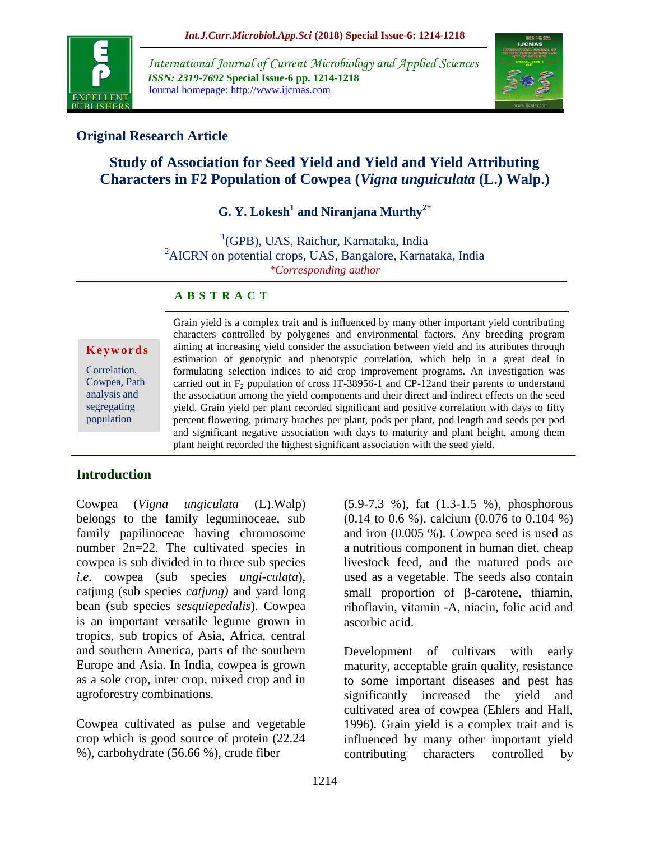

*International Journal of Current Microbiology and Applied Sciences ISSN: 2319-7692* **Special Issue-6 pp. 1214-1218** Journal homepage: http://www.ijcmas.com



### **Original Research Article**

# **Study of Association for Seed Yield and Yield and Yield Attributing Characters in F2 Population of Cowpea (***Vigna unguiculata* **(L.) Walp.)**

## **G. Y. Lokesh<sup>1</sup> and Niranjana Murthy2\***

<sup>1</sup>(GPB), UAS, Raichur, Karnataka, India <sup>2</sup>AICRN on potential crops, UAS, Bangalore, Karnataka, India *\*Corresponding author*

#### **A B S T R A C T**

**K e y w o r d s**

Correlation, Cowpea, Path analysis and segregating population

Grain yield is a complex trait and is influenced by many other important yield contributing characters controlled by polygenes and environmental factors. Any breeding program aiming at increasing yield consider the association between yield and its attributes through estimation of genotypic and phenotypic correlation, which help in a great deal in formulating selection indices to aid crop improvement programs. An investigation was carried out in  $F_2$  population of cross IT-38956-1 and CP-12and their parents to understand the association among the yield components and their direct and indirect effects on the seed yield. Grain yield per plant recorded significant and positive correlation with days to fifty percent flowering, primary braches per plant, pods per plant, pod length and seeds per pod and significant negative association with days to maturity and plant height, among them plant height recorded the highest significant association with the seed yield.

### **Introduction**

Cowpea (*Vigna ungiculata* (L).Walp) belongs to the family leguminoceae, sub family papilinoceae having chromosome number 2n=22. The cultivated species in cowpea is sub divided in to three sub species *i.e.* cowpea (sub species *ungi-culata*), catjung (sub species *catjung)* and yard long bean (sub species *sesquiepedalis*). Cowpea is an important versatile legume grown in tropics, sub tropics of Asia, Africa, central and southern America, parts of the southern Europe and Asia. In India, cowpea is grown as a sole crop, inter crop, mixed crop and in agroforestry combinations.

Cowpea cultivated as pulse and vegetable crop which is good source of protein (22.24 %), carbohydrate (56.66 %), crude fiber

(5.9-7.3 %), fat (1.3-1.5 %), phosphorous (0.14 to 0.6 %), calcium (0.076 to 0.104 %) and iron (0.005 %). Cowpea seed is used as a nutritious component in human diet, cheap livestock feed, and the matured pods are used as a vegetable. The seeds also contain small proportion of  $\beta$ -carotene, thiamin, riboflavin, vitamin -A, niacin, folic acid and ascorbic acid.

Development of cultivars with early maturity, acceptable grain quality, resistance to some important diseases and pest has significantly increased the yield and cultivated area of cowpea (Ehlers and Hall, 1996). Grain yield is a complex trait and is influenced by many other important yield contributing characters controlled by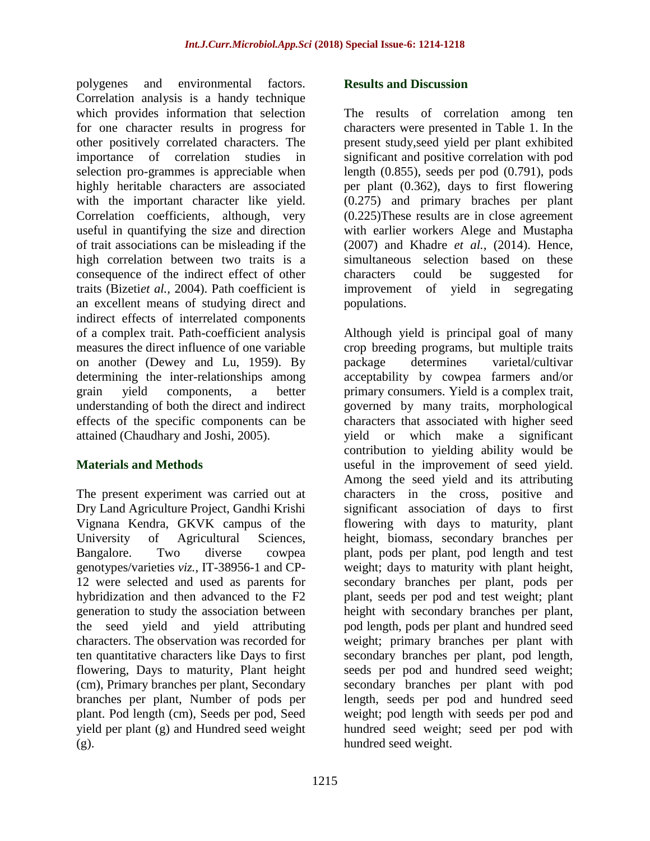polygenes and environmental factors. Correlation analysis is a handy technique which provides information that selection for one character results in progress for other positively correlated characters. The importance of correlation studies in selection pro-grammes is appreciable when highly heritable characters are associated with the important character like yield. Correlation coefficients, although, very useful in quantifying the size and direction of trait associations can be misleading if the high correlation between two traits is a consequence of the indirect effect of other traits (Bizeti*et al.,* 2004). Path coefficient is an excellent means of studying direct and indirect effects of interrelated components of a complex trait. Path-coefficient analysis measures the direct influence of one variable on another (Dewey and Lu, 1959). By determining the inter-relationships among grain yield components, a better understanding of both the direct and indirect effects of the specific components can be attained (Chaudhary and Joshi, 2005).

### **Materials and Methods**

The present experiment was carried out at Dry Land Agriculture Project, Gandhi Krishi Vignana Kendra, GKVK campus of the University of Agricultural Sciences, Bangalore. Two diverse cowpea genotypes/varieties *viz.,* IT-38956-1 and CP-12 were selected and used as parents for hybridization and then advanced to the F2 generation to study the association between the seed yield and yield attributing characters. The observation was recorded for ten quantitative characters like Days to first flowering, Days to maturity, Plant height (cm), Primary branches per plant, Secondary branches per plant, Number of pods per plant. Pod length (cm), Seeds per pod, Seed yield per plant (g) and Hundred seed weight (g).

#### **Results and Discussion**

The results of correlation among ten characters were presented in Table 1. In the present study,seed yield per plant exhibited significant and positive correlation with pod length (0.855), seeds per pod (0.791), pods per plant (0.362), days to first flowering (0.275) and primary braches per plant (0.225)These results are in close agreement with earlier workers Alege and Mustapha (2007) and Khadre *et al.,* (2014). Hence, simultaneous selection based on these characters could be suggested for improvement of yield in segregating populations.

Although yield is principal goal of many crop breeding programs, but multiple traits package determines varietal/cultivar acceptability by cowpea farmers and/or primary consumers. Yield is a complex trait, governed by many traits, morphological characters that associated with higher seed yield or which make a significant contribution to yielding ability would be useful in the improvement of seed yield. Among the seed yield and its attributing characters in the cross, positive and significant association of days to first flowering with days to maturity, plant height, biomass, secondary branches per plant, pods per plant, pod length and test weight; days to maturity with plant height, secondary branches per plant, pods per plant, seeds per pod and test weight; plant height with secondary branches per plant, pod length, pods per plant and hundred seed weight; primary branches per plant with secondary branches per plant, pod length, seeds per pod and hundred seed weight; secondary branches per plant with pod length, seeds per pod and hundred seed weight; pod length with seeds per pod and hundred seed weight; seed per pod with hundred seed weight.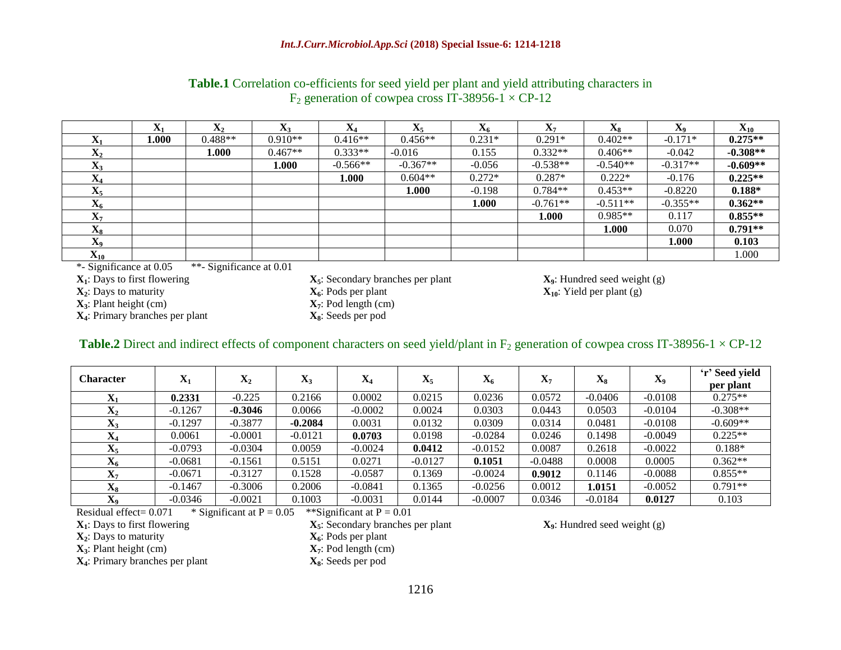|                                  | $\Delta$ |           |           |            |            | 486      | $\mathbf{A}$ | $\mathbf{A}_{\mathbf{S}}$ | $\mathbf{v}$<br>Δq | $\mathbf{X}_{10}$ |
|----------------------------------|----------|-----------|-----------|------------|------------|----------|--------------|---------------------------|--------------------|-------------------|
| л                                | 1.000    | $0.488**$ | $0.910**$ | $0.416**$  | $0.456**$  | $0.231*$ | $0.291*$     | $0.402**$                 | $-0.171*$          | $0.275**$         |
| $\mathbf{A}_2$                   |          | 1.000     | $0.467**$ | $0.333**$  | $-0.016$   | 0.155    | $0.332**$    | $0.406**$                 | $-0.042$           | $-0.308**$        |
| $\mathbf{v}$<br>$\mathbf{A}$     |          |           | 1.000     | $-0.566**$ | $-0.367**$ | $-0.056$ | $-0.538**$   | $-0.540**$                | $-0.317**$         | $-0.609**$        |
| $\mathbf{A}$                     |          |           |           | 1.000      | $0.604**$  | $0.272*$ | $0.287*$     | $0.222*$                  | $-0.176$           | $0.225**$         |
| $\Lambda$                        |          |           |           |            | 1.000      | $-0.198$ | $0.784**$    | $0.453**$                 | $-0.8220$          | $0.188*$          |
| $\mathbf{v}$<br>$\mathbf{A}_6$   |          |           |           |            |            | 1.000    | $-0.761**$   | $-0.511**$                | $-0.355**$         | $0.362**$         |
| $\mathbf{A}$                     |          |           |           |            |            |          | 1.000        | $0.985**$                 | 0.117              | $0.855**$         |
| $\mathbf{v}$<br>$\mathbf{A}_{8}$ |          |           |           |            |            |          |              | 000.1                     | 0.070              | $0.791**$         |
| $\mathbf{v}$<br>$\mathbf{A}_{9}$ |          |           |           |            |            |          |              |                           | 1.000              | 0.103             |
| ${\bf A}_{10}$                   |          |           |           |            |            |          |              |                           |                    | 1.000             |

#### **Table.1** Correlation co-efficients for seed yield per plant and yield attributing characters in  $F_2$  generation of cowpea cross IT-38956-1  $\times$  CP-12

\*- Significance at 0.05 \*\*- Significance at 0.01

**X**<sub>**3**</sub>: Plant height (cm) **X**<sub>**<sub>7</sub>**: Pod length (cn **X**<sub>**<sub>4</sub>**: Primary branches per plant **X**<sub>8</sub>: Seeds per pod</sub></sub> **X**<sub>4</sub>: Primary branches per plant

**X**<sub>1</sub>: Days to first flowering **X**<sub>5</sub>: Secondary branches per plant **X**<sub>9</sub>: Hundred seed weight (g) **X**<sub>2</sub>: Days to maturity **X**<sub>6</sub>: Pods per plant **X**<sub>6</sub>: Pods per plant **X**<sub>10</sub>: Yield per plant (g)  $\mathbf{X}_6$ : Pods per plant  $\mathbf{X}_7$ : Pod length (cm)  $\mathbf{X}_7$ : Pod length (cm)

#### **Table.2** Direct and indirect effects of component characters on seed yield/plant in  $F_2$  generation of cowpea cross IT-38956-1  $\times$  CP-12

| <b>Character</b>    | $\mathbf{X}_1$ | $\mathbf{X}_2$ | $\mathbf{X}_3$ | $\mathbf{X}_4$ | $\mathbf{X}_5$ | $\mathbf{X}_6$ | л.,       | $\mathbf{A}_8$ | X <sub>9</sub> | 'r' Seed yield<br>per plant |
|---------------------|----------------|----------------|----------------|----------------|----------------|----------------|-----------|----------------|----------------|-----------------------------|
| v<br>$\mathbf{A}_1$ | 0.2331         | $-0.225$       | 0.2166         | 0.0002         | 0.0215         | 0.0236         | 0.0572    | $-0.0406$      | $-0.0108$      | $0.275**$                   |
| $\mathbf{X}_2$      | $-0.1267$      | $-0.3046$      | 0.0066         | $-0.0002$      | 0.0024         | 0.0303         | 0.0443    | 0.0503         | $-0.0104$      | $-0.308**$                  |
| $X_3$               | $-0.1297$      | $-0.3877$      | $-0.2084$      | 0.0031         | 0.0132         | 0.0309         | 0.0314    | 0.0481         | $-0.0108$      | $-0.609**$                  |
| $\mathbf{X}_4$      | 0.0061         | $-0.0001$      | $-0.0121$      | 0.0703         | 0.0198         | $-0.0284$      | 0.0246    | 0.1498         | $-0.0049$      | $0.225**$                   |
| $\mathbf{X}_5$      | $-0.0793$      | $-0.0304$      | 0.0059         | $-0.0024$      | 0.0412         | $-0.0152$      | 0.0087    | 0.2618         | $-0.0022$      | $0.188*$                    |
| $\mathbf{X}_6$      | $-0.0681$      | $-0.1561$      | 0.5151         | 0.0271         | $-0.0127$      | 0.1051         | $-0.0488$ | 0.0008         | 0.0005         | $0.362**$                   |
| $\mathbf{X}_7$      | $-0.0671$      | $-0.3127$      | 0.1528         | $-0.0587$      | 0.1369         | $-0.0024$      | 0.9012    | 0.1146         | $-0.0088$      | $0.855**$                   |
| $\mathbf{X}_8$      | $-0.1467$      | $-0.3006$      | 0.2006         | $-0.0841$      | 0.1365         | $-0.0256$      | 0.0012    | 1.0151         | $-0.0052$      | $0.791**$                   |
| X9                  | $-0.0346$      | $-0.0021$      | 0.1003         | $-0.0031$      | 0.0144         | $-0.0007$      | 0.0346    | $-0.0184$      | 0.0127         | 0.103                       |

**Residual effect= 0.071** \* Significant at P =  $0.05$  \*\*Significant at P =  $0.01$ 

 $\mathbf{X}_2$ : Days to maturity

 $\mathbf{X}_3$ : Plant height (cm)  $\mathbf{X}_4$ : Primary branches per plant  $\mathbf{X}_8$ : Seeds per pod **X**<sub>4</sub>: Primary branches per plant

 $\mathbf{X}_1$ : Days to first flowering  $\mathbf{X}_5$ : Secondary branches per plant  $\mathbf{X}_9$ : Hundred seed weight (g)  $\mathbf{X}_2$ : Days to maturity  $\mathbf{X}_6$ : Pods per plant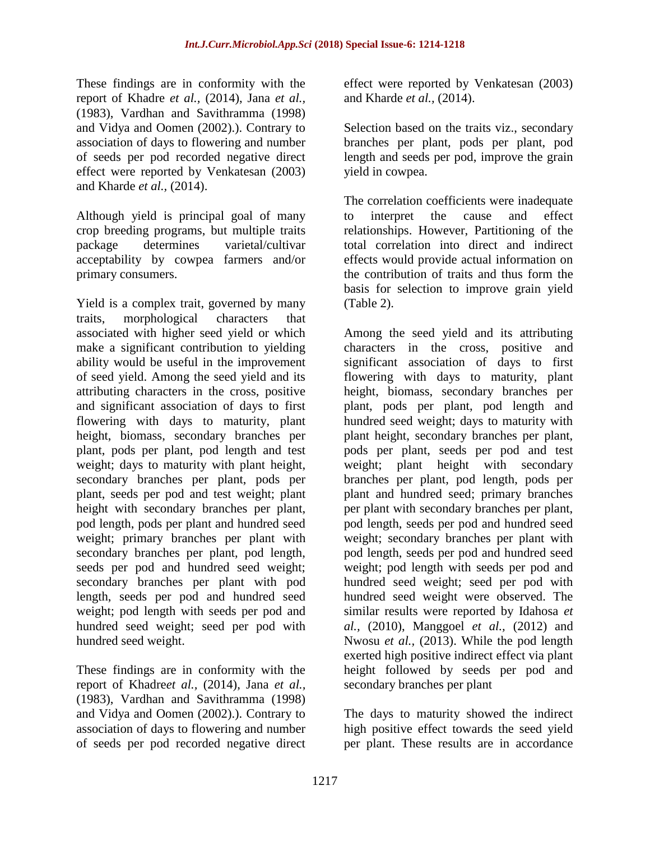These findings are in conformity with the report of Khadre *et al.,* (2014), Jana *et al.,* (1983), Vardhan and Savithramma (1998) and Vidya and Oomen (2002).). Contrary to association of days to flowering and number of seeds per pod recorded negative direct effect were reported by Venkatesan (2003) and Kharde *et al.,* (2014).

Although yield is principal goal of many crop breeding programs, but multiple traits package determines varietal/cultivar acceptability by cowpea farmers and/or primary consumers.

Yield is a complex trait, governed by many traits, morphological characters that associated with higher seed yield or which make a significant contribution to yielding ability would be useful in the improvement of seed yield. Among the seed yield and its attributing characters in the cross, positive and significant association of days to first flowering with days to maturity, plant height, biomass, secondary branches per plant, pods per plant, pod length and test weight; days to maturity with plant height, secondary branches per plant, pods per plant, seeds per pod and test weight; plant height with secondary branches per plant, pod length, pods per plant and hundred seed weight; primary branches per plant with secondary branches per plant, pod length, seeds per pod and hundred seed weight; secondary branches per plant with pod length, seeds per pod and hundred seed weight; pod length with seeds per pod and hundred seed weight; seed per pod with hundred seed weight.

These findings are in conformity with the report of Khadre*et al.,* (2014), Jana *et al.,* (1983), Vardhan and Savithramma (1998) and Vidya and Oomen (2002).). Contrary to association of days to flowering and number of seeds per pod recorded negative direct

effect were reported by Venkatesan (2003) and Kharde *et al.,* (2014).

Selection based on the traits viz., secondary branches per plant, pods per plant, pod length and seeds per pod, improve the grain yield in cowpea.

The correlation coefficients were inadequate to interpret the cause and effect relationships. However, Partitioning of the total correlation into direct and indirect effects would provide actual information on the contribution of traits and thus form the basis for selection to improve grain yield (Table 2).

Among the seed yield and its attributing characters in the cross, positive and significant association of days to first flowering with days to maturity, plant height, biomass, secondary branches per plant, pods per plant, pod length and hundred seed weight; days to maturity with plant height, secondary branches per plant, pods per plant, seeds per pod and test weight; plant height with secondary branches per plant, pod length, pods per plant and hundred seed; primary branches per plant with secondary branches per plant, pod length, seeds per pod and hundred seed weight; secondary branches per plant with pod length, seeds per pod and hundred seed weight; pod length with seeds per pod and hundred seed weight; seed per pod with hundred seed weight were observed. The similar results were reported by Idahosa *et al.,* (2010), Manggoel *et al.,* (2012) and Nwosu *et al.,* (2013). While the pod length exerted high positive indirect effect via plant height followed by seeds per pod and secondary branches per plant

The days to maturity showed the indirect high positive effect towards the seed yield per plant. These results are in accordance